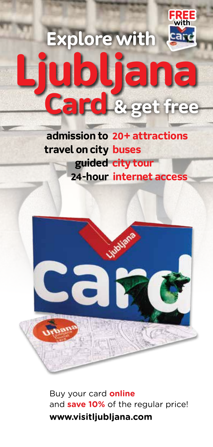## **Explore with Ljubljana Card & get free FREE with**

**admission to 20+ attractions 24-hour internet access travel on city buses guided city tour**



Buy your card **online** and **save 10%** of the regular price! **www.visitljubljana.com**